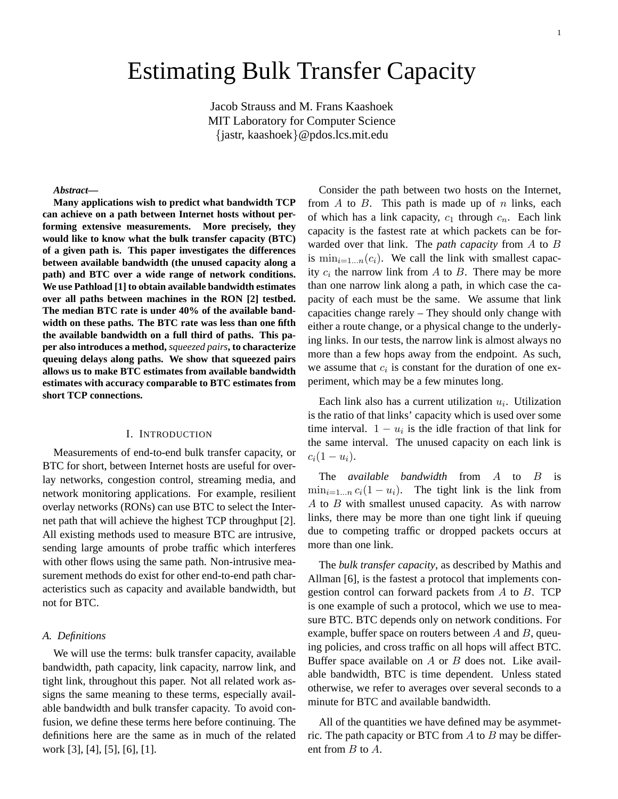# Estimating Bulk Transfer Capacity

Jacob Strauss and M. Frans Kaashoek MIT Laboratory for Computer Science {jastr, kaashoek}@pdos.lcs.mit.edu

## *Abstract***—**

**Many applications wish to predict what bandwidth TCP can achieve on a path between Internet hosts without performing extensive measurements. More precisely, they would like to know what the bulk transfer capacity (BTC) of a given path is. This paper investigates the differences between available bandwidth (the unused capacity along a path) and BTC over a wide range of network conditions. We use Pathload [1] to obtain available bandwidth estimates over all paths between machines in the RON [2] testbed. The median BTC rate is under 40% of the available bandwidth on these paths. The BTC rate was less than one fifth the available bandwidth on a full third of paths. This paper also introduces a method,** *squeezed pairs***, to characterize queuing delays along paths. We show that squeezed pairs allows us to make BTC estimates from available bandwidth estimates with accuracy comparable to BTC estimates from short TCP connections.**

## I. INTRODUCTION

Measurements of end-to-end bulk transfer capacity, or BTC for short, between Internet hosts are useful for overlay networks, congestion control, streaming media, and network monitoring applications. For example, resilient overlay networks (RONs) can use BTC to select the Internet path that will achieve the highest TCP throughput [2]. All existing methods used to measure BTC are intrusive, sending large amounts of probe traffic which interferes with other flows using the same path. Non-intrusive measurement methods do exist for other end-to-end path characteristics such as capacity and available bandwidth, but not for BTC.

## *A. Definitions*

We will use the terms: bulk transfer capacity, available bandwidth, path capacity, link capacity, narrow link, and tight link, throughout this paper. Not all related work assigns the same meaning to these terms, especially available bandwidth and bulk transfer capacity. To avoid confusion, we define these terms here before continuing. The definitions here are the same as in much of the related work [3], [4], [5], [6], [1].

Consider the path between two hosts on the Internet, from  $A$  to  $B$ . This path is made up of  $n$  links, each of which has a link capacity,  $c_1$  through  $c_n$ . Each link capacity is the fastest rate at which packets can be forwarded over that link. The *path capacity* from A to B is  $\min_{i=1...n}(c_i)$ . We call the link with smallest capacity  $c_i$  the narrow link from A to B. There may be more than one narrow link along a path, in which case the capacity of each must be the same. We assume that link capacities change rarely – They should only change with either a route change, or a physical change to the underlying links. In our tests, the narrow link is almost always no more than a few hops away from the endpoint. As such, we assume that  $c_i$  is constant for the duration of one experiment, which may be a few minutes long.

Each link also has a current utilization  $u_i$ . Utilization is the ratio of that links' capacity which is used over some time interval.  $1 - u_i$  is the idle fraction of that link for the same interval. The unused capacity on each link is  $c_i(1-u_i)$ .

The *available bandwidth* from A to B is  $\min_{i=1...n} c_i(1-u_i)$ . The tight link is the link from  $A$  to  $B$  with smallest unused capacity. As with narrow links, there may be more than one tight link if queuing due to competing traffic or dropped packets occurs at more than one link.

The *bulk transfer capacity*, as described by Mathis and Allman [6], is the fastest a protocol that implements congestion control can forward packets from A to B. TCP is one example of such a protocol, which we use to measure BTC. BTC depends only on network conditions. For example, buffer space on routers between  $A$  and  $B$ , queuing policies, and cross traffic on all hops will affect BTC. Buffer space available on  $A$  or  $B$  does not. Like available bandwidth, BTC is time dependent. Unless stated otherwise, we refer to averages over several seconds to a minute for BTC and available bandwidth.

All of the quantities we have defined may be asymmetric. The path capacity or BTC from  $A$  to  $B$  may be different from B to A.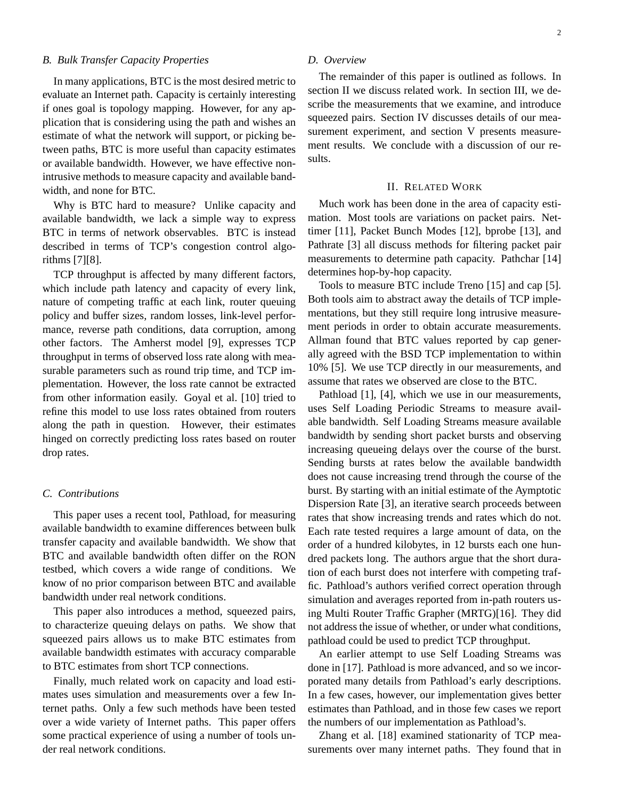# *B. Bulk Transfer Capacity Properties*

In many applications, BTC is the most desired metric to evaluate an Internet path. Capacity is certainly interesting if ones goal is topology mapping. However, for any application that is considering using the path and wishes an estimate of what the network will support, or picking between paths, BTC is more useful than capacity estimates or available bandwidth. However, we have effective nonintrusive methods to measure capacity and available bandwidth, and none for BTC.

Why is BTC hard to measure? Unlike capacity and available bandwidth, we lack a simple way to express BTC in terms of network observables. BTC is instead described in terms of TCP's congestion control algorithms [7][8].

TCP throughput is affected by many different factors, which include path latency and capacity of every link, nature of competing traffic at each link, router queuing policy and buffer sizes, random losses, link-level performance, reverse path conditions, data corruption, among other factors. The Amherst model [9], expresses TCP throughput in terms of observed loss rate along with measurable parameters such as round trip time, and TCP implementation. However, the loss rate cannot be extracted from other information easily. Goyal et al. [10] tried to refine this model to use loss rates obtained from routers along the path in question. However, their estimates hinged on correctly predicting loss rates based on router drop rates.

# *C. Contributions*

This paper uses a recent tool, Pathload, for measuring available bandwidth to examine differences between bulk transfer capacity and available bandwidth. We show that BTC and available bandwidth often differ on the RON testbed, which covers a wide range of conditions. We know of no prior comparison between BTC and available bandwidth under real network conditions.

This paper also introduces a method, squeezed pairs, to characterize queuing delays on paths. We show that squeezed pairs allows us to make BTC estimates from available bandwidth estimates with accuracy comparable to BTC estimates from short TCP connections.

Finally, much related work on capacity and load estimates uses simulation and measurements over a few Internet paths. Only a few such methods have been tested over a wide variety of Internet paths. This paper offers some practical experience of using a number of tools under real network conditions.

# *D. Overview*

The remainder of this paper is outlined as follows. In section II we discuss related work. In section III, we describe the measurements that we examine, and introduce squeezed pairs. Section IV discusses details of our measurement experiment, and section V presents measurement results. We conclude with a discussion of our results.

# II. RELATED WORK

Much work has been done in the area of capacity estimation. Most tools are variations on packet pairs. Nettimer [11], Packet Bunch Modes [12], bprobe [13], and Pathrate [3] all discuss methods for filtering packet pair measurements to determine path capacity. Pathchar [14] determines hop-by-hop capacity.

Tools to measure BTC include Treno [15] and cap [5]. Both tools aim to abstract away the details of TCP implementations, but they still require long intrusive measurement periods in order to obtain accurate measurements. Allman found that BTC values reported by cap generally agreed with the BSD TCP implementation to within 10% [5]. We use TCP directly in our measurements, and assume that rates we observed are close to the BTC.

Pathload [1], [4], which we use in our measurements, uses Self Loading Periodic Streams to measure available bandwidth. Self Loading Streams measure available bandwidth by sending short packet bursts and observing increasing queueing delays over the course of the burst. Sending bursts at rates below the available bandwidth does not cause increasing trend through the course of the burst. By starting with an initial estimate of the Aymptotic Dispersion Rate [3], an iterative search proceeds between rates that show increasing trends and rates which do not. Each rate tested requires a large amount of data, on the order of a hundred kilobytes, in 12 bursts each one hundred packets long. The authors argue that the short duration of each burst does not interfere with competing traffic. Pathload's authors verified correct operation through simulation and averages reported from in-path routers using Multi Router Traffic Grapher (MRTG)[16]. They did not address the issue of whether, or under what conditions, pathload could be used to predict TCP throughput.

An earlier attempt to use Self Loading Streams was done in [17]. Pathload is more advanced, and so we incorporated many details from Pathload's early descriptions. In a few cases, however, our implementation gives better estimates than Pathload, and in those few cases we report the numbers of our implementation as Pathload's.

Zhang et al. [18] examined stationarity of TCP measurements over many internet paths. They found that in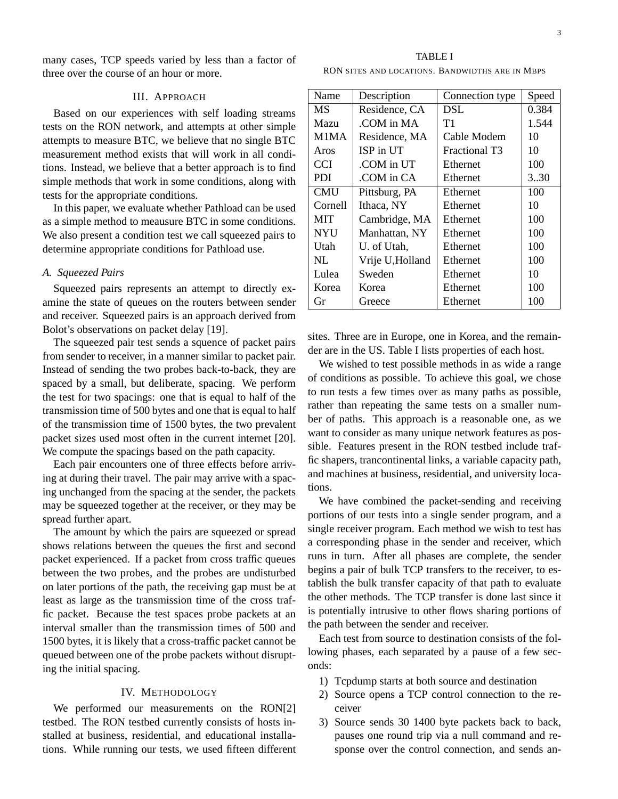many cases, TCP speeds varied by less than a factor of three over the course of an hour or more.

# III. APPROACH

Based on our experiences with self loading streams tests on the RON network, and attempts at other simple attempts to measure BTC, we believe that no single BTC measurement method exists that will work in all conditions. Instead, we believe that a better approach is to find simple methods that work in some conditions, along with tests for the appropriate conditions.

In this paper, we evaluate whether Pathload can be used as a simple method to meausure BTC in some conditions. We also present a condition test we call squeezed pairs to determine appropriate conditions for Pathload use.

# *A. Squeezed Pairs*

Squeezed pairs represents an attempt to directly examine the state of queues on the routers between sender and receiver. Squeezed pairs is an approach derived from Bolot's observations on packet delay [19].

The squeezed pair test sends a squence of packet pairs from sender to receiver, in a manner similar to packet pair. Instead of sending the two probes back-to-back, they are spaced by a small, but deliberate, spacing. We perform the test for two spacings: one that is equal to half of the transmission time of 500 bytes and one that is equal to half of the transmission time of 1500 bytes, the two prevalent packet sizes used most often in the current internet [20]. We compute the spacings based on the path capacity.

Each pair encounters one of three effects before arriving at during their travel. The pair may arrive with a spacing unchanged from the spacing at the sender, the packets may be squeezed together at the receiver, or they may be spread further apart.

The amount by which the pairs are squeezed or spread shows relations between the queues the first and second packet experienced. If a packet from cross traffic queues between the two probes, and the probes are undisturbed on later portions of the path, the receiving gap must be at least as large as the transmission time of the cross traffic packet. Because the test spaces probe packets at an interval smaller than the transmission times of 500 and 1500 bytes, it is likely that a cross-traffic packet cannot be queued between one of the probe packets without disrupting the initial spacing.

#### IV. METHODOLOGY

We performed our measurements on the RON[2] testbed. The RON testbed currently consists of hosts installed at business, residential, and educational installations. While running our tests, we used fifteen different

TABLE I RON SITES AND LOCATIONS. BANDWIDTHS ARE IN MBPS

| Name       | Description      | Connection type | Speed |
|------------|------------------|-----------------|-------|
| МS         | Residence, CA    | DSL             | 0.384 |
| Mazu       | COM in MA        | T1              | 1.544 |
| M1MA       | Residence, MA    | Cable Modem     | 10    |
| Aros       | ISP in UT        | Fractional T3   | 10    |
| <b>CCI</b> | COM in UT        | Ethernet        | 100   |
| PDI.       | COM in CA.       | Ethernet        | 330   |
| <b>CMU</b> | Pittsburg, PA    | Ethernet        | 100   |
| Cornell    | Ithaca, NY       | Ethernet        | 10    |
| <b>MIT</b> | Cambridge, MA    | Ethernet        | 100   |
| <b>NYU</b> | Manhattan, NY    | Ethernet        | 100   |
| Utah       | U. of Utah,      | Ethernet        | 100   |
| NL.        | Vrije U, Holland | Ethernet        | 100   |
| Lulea      | Sweden           | Ethernet        | 10    |
| Korea      | Korea            | Ethernet        | 100   |
| Gr         | Greece           | Ethernet        | 100   |

sites. Three are in Europe, one in Korea, and the remainder are in the US. Table I lists properties of each host.

We wished to test possible methods in as wide a range of conditions as possible. To achieve this goal, we chose to run tests a few times over as many paths as possible, rather than repeating the same tests on a smaller number of paths. This approach is a reasonable one, as we want to consider as many unique network features as possible. Features present in the RON testbed include traffic shapers, trancontinental links, a variable capacity path, and machines at business, residential, and university locations.

We have combined the packet-sending and receiving portions of our tests into a single sender program, and a single receiver program. Each method we wish to test has a corresponding phase in the sender and receiver, which runs in turn. After all phases are complete, the sender begins a pair of bulk TCP transfers to the receiver, to establish the bulk transfer capacity of that path to evaluate the other methods. The TCP transfer is done last since it is potentially intrusive to other flows sharing portions of the path between the sender and receiver.

Each test from source to destination consists of the following phases, each separated by a pause of a few seconds:

- 1) Tcpdump starts at both source and destination
- 2) Source opens a TCP control connection to the receiver
- 3) Source sends 30 1400 byte packets back to back, pauses one round trip via a null command and response over the control connection, and sends an-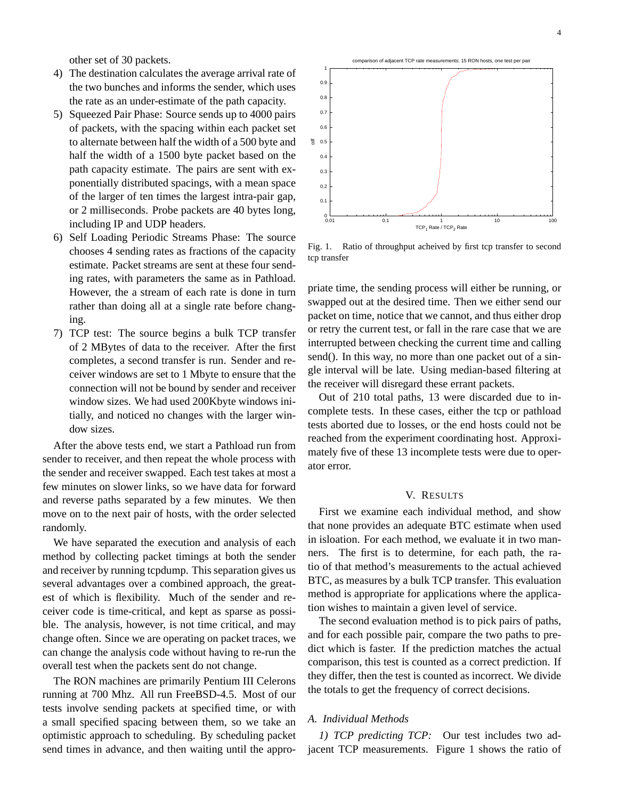other set of 30 packets.

- 4) The destination calculates the average arrival rate of the two bunches and informs the sender, which uses the rate as an under-estimate of the path capacity.
- 5) Squeezed Pair Phase: Source sends up to 4000 pairs of packets, with the spacing within each packet set to alternate between half the width of a 500 byte and half the width of a 1500 byte packet based on the path capacity estimate. The pairs are sent with exponentially distributed spacings, with a mean space of the larger of ten times the largest intra-pair gap, or 2 milliseconds. Probe packets are 40 bytes long, including IP and UDP headers.
- 6) Self Loading Periodic Streams Phase: The source chooses 4 sending rates as fractions of the capacity estimate. Packet streams are sent at these four sending rates, with parameters the same as in Pathload. However, the a stream of each rate is done in turn rather than doing all at a single rate before changing.
- 7) TCP test: The source begins a bulk TCP transfer of 2 MBytes of data to the receiver. After the first completes, a second transfer is run. Sender and receiver windows are set to 1 Mbyte to ensure that the connection will not be bound by sender and receiver window sizes. We had used 200Kbyte windows initially, and noticed no changes with the larger window sizes.

After the above tests end, we start a Pathload run from sender to receiver, and then repeat the whole process with the sender and receiver swapped. Each test takes at most a few minutes on slower links, so we have data for forward and reverse paths separated by a few minutes. We then move on to the next pair of hosts, with the order selected randomly.

We have separated the execution and analysis of each method by collecting packet timings at both the sender and receiver by running tcpdump. This separation gives us several advantages over a combined approach, the greatest of which is flexibility. Much of the sender and receiver code is time-critical, and kept as sparse as possible. The analysis, however, is not time critical, and may change often. Since we are operating on packet traces, we can change the analysis code without having to re-run the overall test when the packets sent do not change.

The RON machines are primarily Pentium III Celerons running at 700 Mhz. All run FreeBSD-4.5. Most of our tests involve sending packets at specified time, or with a small specified spacing between them, so we take an optimistic approach to scheduling. By scheduling packet send times in advance, and then waiting until the appro-



Fig. 1. Ratio of throughput acheived by first tcp transfer to second tcp transfer

priate time, the sending process will either be running, or swapped out at the desired time. Then we either send our packet on time, notice that we cannot, and thus either drop or retry the current test, or fall in the rare case that we are interrupted between checking the current time and calling send(). In this way, no more than one packet out of a single interval will be late. Using median-based filtering at the receiver will disregard these errant packets.

Out of 210 total paths, 13 were discarded due to incomplete tests. In these cases, either the tcp or pathload tests aborted due to losses, or the end hosts could not be reached from the experiment coordinating host. Approximately five of these 13 incomplete tests were due to operator error.

# V. RESULTS

First we examine each individual method, and show that none provides an adequate BTC estimate when used in isloation. For each method, we evaluate it in two manners. The first is to determine, for each path, the ratio of that method's measurements to the actual achieved BTC, as measures by a bulk TCP transfer. This evaluation method is appropriate for applications where the application wishes to maintain a given level of service.

The second evaluation method is to pick pairs of paths, and for each possible pair, compare the two paths to predict which is faster. If the prediction matches the actual comparison, this test is counted as a correct prediction. If they differ, then the test is counted as incorrect. We divide the totals to get the frequency of correct decisions.

# *A. Individual Methods*

*1) TCP predicting TCP:* Our test includes two adjacent TCP measurements. Figure 1 shows the ratio of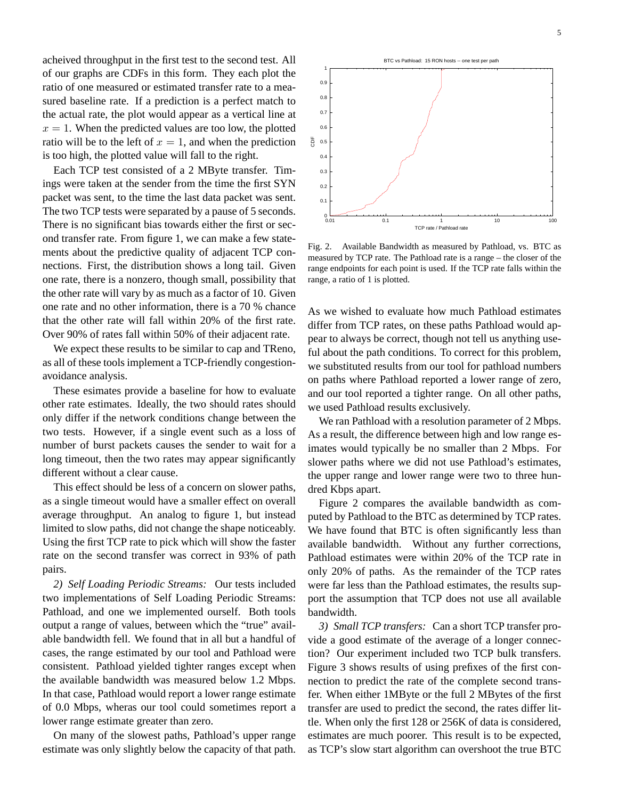acheived throughput in the first test to the second test. All of our graphs are CDFs in this form. They each plot the ratio of one measured or estimated transfer rate to a measured baseline rate. If a prediction is a perfect match to the actual rate, the plot would appear as a vertical line at  $x = 1$ . When the predicted values are too low, the plotted ratio will be to the left of  $x = 1$ , and when the prediction is too high, the plotted value will fall to the right.

Each TCP test consisted of a 2 MByte transfer. Timings were taken at the sender from the time the first SYN packet was sent, to the time the last data packet was sent. The two TCP tests were separated by a pause of 5 seconds. There is no significant bias towards either the first or second transfer rate. From figure 1, we can make a few statements about the predictive quality of adjacent TCP connections. First, the distribution shows a long tail. Given one rate, there is a nonzero, though small, possibility that the other rate will vary by as much as a factor of 10. Given one rate and no other information, there is a 70 % chance that the other rate will fall within 20% of the first rate. Over 90% of rates fall within 50% of their adjacent rate.

We expect these results to be similar to cap and TReno, as all of these tools implement a TCP-friendly congestionavoidance analysis.

These esimates provide a baseline for how to evaluate other rate estimates. Ideally, the two should rates should only differ if the network conditions change between the two tests. However, if a single event such as a loss of number of burst packets causes the sender to wait for a long timeout, then the two rates may appear significantly different without a clear cause.

This effect should be less of a concern on slower paths, as a single timeout would have a smaller effect on overall average throughput. An analog to figure 1, but instead limited to slow paths, did not change the shape noticeably. Using the first TCP rate to pick which will show the faster rate on the second transfer was correct in 93% of path pairs.

*2) Self Loading Periodic Streams:* Our tests included two implementations of Self Loading Periodic Streams: Pathload, and one we implemented ourself. Both tools output a range of values, between which the "true" available bandwidth fell. We found that in all but a handful of cases, the range estimated by our tool and Pathload were consistent. Pathload yielded tighter ranges except when the available bandwidth was measured below 1.2 Mbps. In that case, Pathload would report a lower range estimate of 0.0 Mbps, wheras our tool could sometimes report a lower range estimate greater than zero.

On many of the slowest paths, Pathload's upper range estimate was only slightly below the capacity of that path.



Fig. 2. Available Bandwidth as measured by Pathload, vs. BTC as measured by TCP rate. The Pathload rate is a range – the closer of the range endpoints for each point is used. If the TCP rate falls within the range, a ratio of 1 is plotted.

As we wished to evaluate how much Pathload estimates differ from TCP rates, on these paths Pathload would appear to always be correct, though not tell us anything useful about the path conditions. To correct for this problem, we substituted results from our tool for pathload numbers on paths where Pathload reported a lower range of zero, and our tool reported a tighter range. On all other paths, we used Pathload results exclusively.

We ran Pathload with a resolution parameter of 2 Mbps. As a result, the difference between high and low range esimates would typically be no smaller than 2 Mbps. For slower paths where we did not use Pathload's estimates, the upper range and lower range were two to three hundred Kbps apart.

Figure 2 compares the available bandwidth as computed by Pathload to the BTC as determined by TCP rates. We have found that BTC is often significantly less than available bandwidth. Without any further corrections, Pathload estimates were within 20% of the TCP rate in only 20% of paths. As the remainder of the TCP rates were far less than the Pathload estimates, the results support the assumption that TCP does not use all available bandwidth.

*3) Small TCP transfers:* Can a short TCP transfer provide a good estimate of the average of a longer connection? Our experiment included two TCP bulk transfers. Figure 3 shows results of using prefixes of the first connection to predict the rate of the complete second transfer. When either 1MByte or the full 2 MBytes of the first transfer are used to predict the second, the rates differ little. When only the first 128 or 256K of data is considered, estimates are much poorer. This result is to be expected, as TCP's slow start algorithm can overshoot the true BTC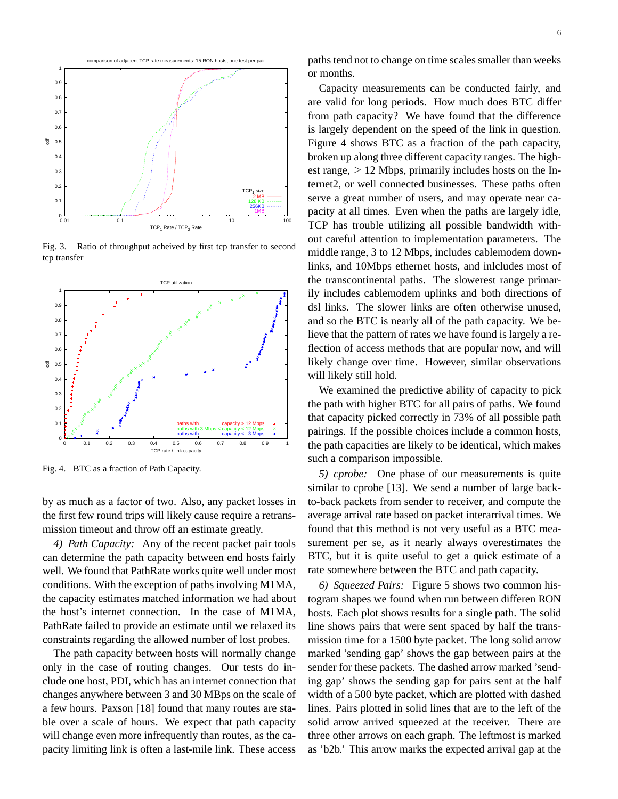

Fig. 3. Ratio of throughput acheived by first tcp transfer to second tcp transfer



Fig. 4. BTC as a fraction of Path Capacity.

by as much as a factor of two. Also, any packet losses in the first few round trips will likely cause require a retransmission timeout and throw off an estimate greatly.

*4) Path Capacity:* Any of the recent packet pair tools can determine the path capacity between end hosts fairly well. We found that PathRate works quite well under most conditions. With the exception of paths involving M1MA, the capacity estimates matched information we had about the host's internet connection. In the case of M1MA, PathRate failed to provide an estimate until we relaxed its constraints regarding the allowed number of lost probes.

The path capacity between hosts will normally change only in the case of routing changes. Our tests do include one host, PDI, which has an internet connection that changes anywhere between 3 and 30 MBps on the scale of a few hours. Paxson [18] found that many routes are stable over a scale of hours. We expect that path capacity will change even more infrequently than routes, as the capacity limiting link is often a last-mile link. These access paths tend not to change on time scales smaller than weeks or months.

Capacity measurements can be conducted fairly, and are valid for long periods. How much does BTC differ from path capacity? We have found that the difference is largely dependent on the speed of the link in question. Figure 4 shows BTC as a fraction of the path capacity, broken up along three different capacity ranges. The highest range,  $> 12$  Mbps, primarily includes hosts on the Internet2, or well connected businesses. These paths often serve a great number of users, and may operate near capacity at all times. Even when the paths are largely idle, TCP has trouble utilizing all possible bandwidth without careful attention to implementation parameters. The middle range, 3 to 12 Mbps, includes cablemodem downlinks, and 10Mbps ethernet hosts, and inlcludes most of the transcontinental paths. The slowerest range primarily includes cablemodem uplinks and both directions of dsl links. The slower links are often otherwise unused, and so the BTC is nearly all of the path capacity. We believe that the pattern of rates we have found is largely a reflection of access methods that are popular now, and will likely change over time. However, similar observations will likely still hold.

We examined the predictive ability of capacity to pick the path with higher BTC for all pairs of paths. We found that capacity picked correctly in 73% of all possible path pairings. If the possible choices include a common hosts, the path capacities are likely to be identical, which makes such a comparison impossible.

*5) cprobe:* One phase of our measurements is quite similar to cprobe [13]. We send a number of large backto-back packets from sender to receiver, and compute the average arrival rate based on packet interarrival times. We found that this method is not very useful as a BTC measurement per se, as it nearly always overestimates the BTC, but it is quite useful to get a quick estimate of a rate somewhere between the BTC and path capacity.

*6) Squeezed Pairs:* Figure 5 shows two common histogram shapes we found when run between differen RON hosts. Each plot shows results for a single path. The solid line shows pairs that were sent spaced by half the transmission time for a 1500 byte packet. The long solid arrow marked 'sending gap' shows the gap between pairs at the sender for these packets. The dashed arrow marked 'sending gap' shows the sending gap for pairs sent at the half width of a 500 byte packet, which are plotted with dashed lines. Pairs plotted in solid lines that are to the left of the solid arrow arrived squeezed at the receiver. There are three other arrows on each graph. The leftmost is marked as 'b2b.' This arrow marks the expected arrival gap at the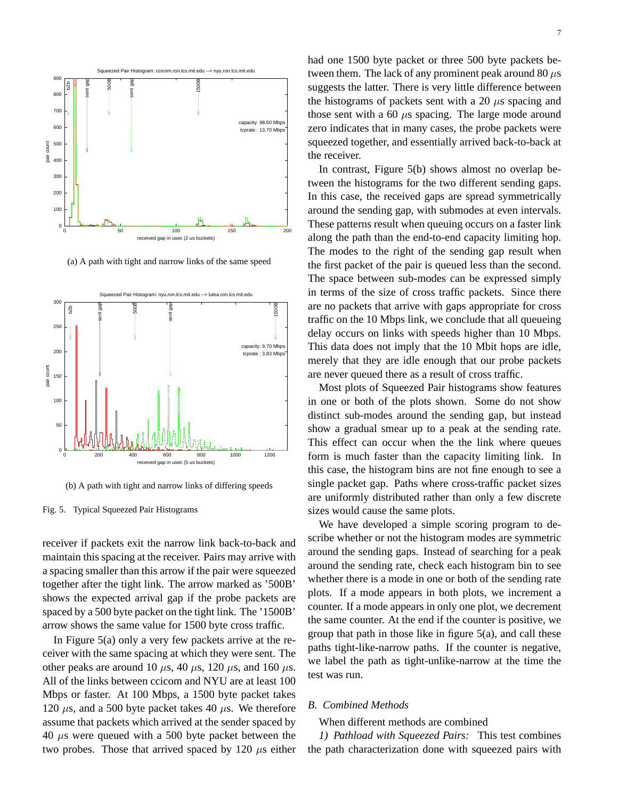

(a) A path with tight and narrow links of the same speed



(b) A path with tight and narrow links of differing speeds

Fig. 5. Typical Squeezed Pair Histograms

receiver if packets exit the narrow link back-to-back and maintain this spacing at the receiver. Pairs may arrive with a spacing smaller than this arrow if the pair were squeezed together after the tight link. The arrow marked as '500B' shows the expected arrival gap if the probe packets are spaced by a 500 byte packet on the tight link. The '1500B' arrow shows the same value for 1500 byte cross traffic.

In Figure 5(a) only a very few packets arrive at the receiver with the same spacing at which they were sent. The other peaks are around 10  $\mu$ s, 40  $\mu$ s, 120  $\mu$ s, and 160  $\mu$ s. All of the links between ccicom and NYU are at least 100 Mbps or faster. At 100 Mbps, a 1500 byte packet takes 120  $\mu$ s, and a 500 byte packet takes 40  $\mu$ s. We therefore assume that packets which arrived at the sender spaced by 40  $\mu$ s were queued with a 500 byte packet between the two probes. Those that arrived spaced by 120  $\mu$ s either had one 1500 byte packet or three 500 byte packets between them. The lack of any prominent peak around 80  $\mu$ s suggests the latter. There is very little difference between the histograms of packets sent with a 20  $\mu$ s spacing and those sent with a 60  $\mu$ s spacing. The large mode around zero indicates that in many cases, the probe packets were squeezed together, and essentially arrived back-to-back at the receiver.

In contrast, Figure 5(b) shows almost no overlap between the histograms for the two different sending gaps. In this case, the received gaps are spread symmetrically around the sending gap, with submodes at even intervals. These patterns result when queuing occurs on a faster link along the path than the end-to-end capacity limiting hop. The modes to the right of the sending gap result when the first packet of the pair is queued less than the second. The space between sub-modes can be expressed simply in terms of the size of cross traffic packets. Since there are no packets that arrive with gaps appropriate for cross traffic on the 10 Mbps link, we conclude that all queueing delay occurs on links with speeds higher than 10 Mbps. This data does not imply that the 10 Mbit hops are idle, merely that they are idle enough that our probe packets are never queued there as a result of cross traffic.

Most plots of Squeezed Pair histograms show features in one or both of the plots shown. Some do not show distinct sub-modes around the sending gap, but instead show a gradual smear up to a peak at the sending rate. This effect can occur when the the link where queues form is much faster than the capacity limiting link. In this case, the histogram bins are not fine enough to see a single packet gap. Paths where cross-traffic packet sizes are uniformly distributed rather than only a few discrete sizes would cause the same plots.

We have developed a simple scoring program to describe whether or not the histogram modes are symmetric around the sending gaps. Instead of searching for a peak around the sending rate, check each histogram bin to see whether there is a mode in one or both of the sending rate plots. If a mode appears in both plots, we increment a counter. If a mode appears in only one plot, we decrement the same counter. At the end if the counter is positive, we group that path in those like in figure 5(a), and call these paths tight-like-narrow paths. If the counter is negative, we label the path as tight-unlike-narrow at the time the test was run.

# *B. Combined Methods*

When different methods are combined

*1) Pathload with Squeezed Pairs:* This test combines the path characterization done with squeezed pairs with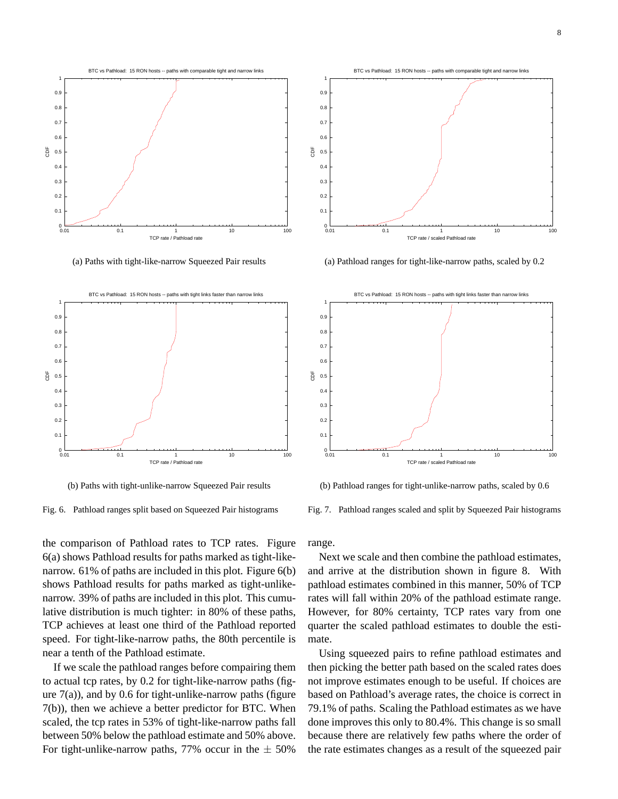

(a) Paths with tight-like-narrow Squeezed Pair results



(b) Paths with tight-unlike-narrow Squeezed Pair results



the comparison of Pathload rates to TCP rates. Figure 6(a) shows Pathload results for paths marked as tight-likenarrow. 61% of paths are included in this plot. Figure 6(b) shows Pathload results for paths marked as tight-unlikenarrow. 39% of paths are included in this plot. This cumulative distribution is much tighter: in 80% of these paths, TCP achieves at least one third of the Pathload reported speed. For tight-like-narrow paths, the 80th percentile is near a tenth of the Pathload estimate.

If we scale the pathload ranges before compairing them to actual tcp rates, by 0.2 for tight-like-narrow paths (figure  $7(a)$ ), and by 0.6 for tight-unlike-narrow paths (figure 7(b)), then we achieve a better predictor for BTC. When scaled, the tcp rates in 53% of tight-like-narrow paths fall between 50% below the pathload estimate and 50% above. For tight-unlike-narrow paths, 77% occur in the  $\pm$  50%



(a) Pathload ranges for tight-like-narrow paths, scaled by 0.2



(b) Pathload ranges for tight-unlike-narrow paths, scaled by 0.6

Fig. 7. Pathload ranges scaled and split by Squeezed Pair histograms

range.

Next we scale and then combine the pathload estimates, and arrive at the distribution shown in figure 8. With pathload estimates combined in this manner, 50% of TCP rates will fall within 20% of the pathload estimate range. However, for 80% certainty, TCP rates vary from one quarter the scaled pathload estimates to double the estimate.

Using squeezed pairs to refine pathload estimates and then picking the better path based on the scaled rates does not improve estimates enough to be useful. If choices are based on Pathload's average rates, the choice is correct in 79.1% of paths. Scaling the Pathload estimates as we have done improves this only to 80.4%. This change is so small because there are relatively few paths where the order of the rate estimates changes as a result of the squeezed pair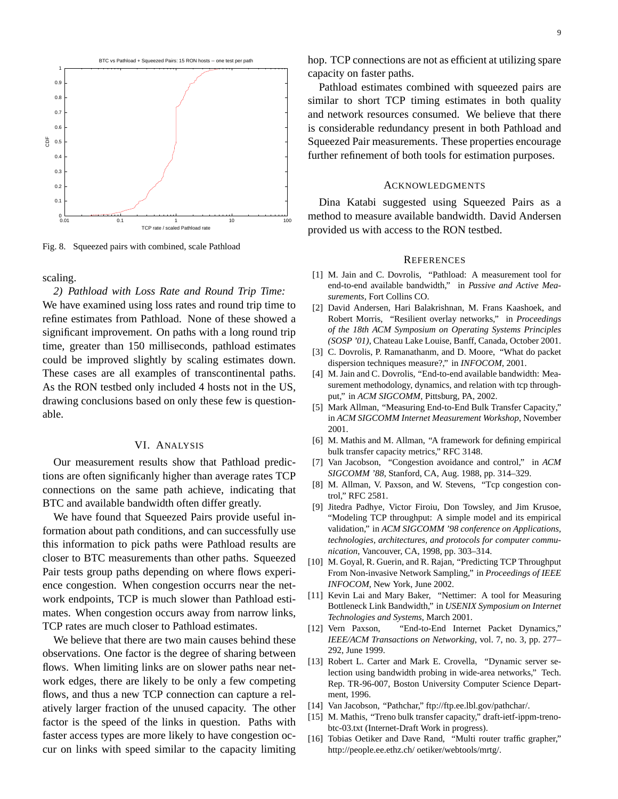

Fig. 8. Squeezed pairs with combined, scale Pathload

scaling.

*2) Pathload with Loss Rate and Round Trip Time:* We have examined using loss rates and round trip time to refine estimates from Pathload. None of these showed a significant improvement. On paths with a long round trip time, greater than 150 milliseconds, pathload estimates could be improved slightly by scaling estimates down. These cases are all examples of transcontinental paths. As the RON testbed only included 4 hosts not in the US, drawing conclusions based on only these few is questionable.

# VI. ANALYSIS

Our measurement results show that Pathload predictions are often significanly higher than average rates TCP connections on the same path achieve, indicating that BTC and available bandwidth often differ greatly.

We have found that Squeezed Pairs provide useful information about path conditions, and can successfully use this information to pick paths were Pathload results are closer to BTC measurements than other paths. Squeezed Pair tests group paths depending on where flows experience congestion. When congestion occurrs near the network endpoints, TCP is much slower than Pathload estimates. When congestion occurs away from narrow links, TCP rates are much closer to Pathload estimates.

We believe that there are two main causes behind these observations. One factor is the degree of sharing between flows. When limiting links are on slower paths near network edges, there are likely to be only a few competing flows, and thus a new TCP connection can capture a relatively larger fraction of the unused capacity. The other factor is the speed of the links in question. Paths with faster access types are more likely to have congestion occur on links with speed similar to the capacity limiting hop. TCP connections are not as efficient at utilizing spare capacity on faster paths.

Pathload estimates combined with squeezed pairs are similar to short TCP timing estimates in both quality and network resources consumed. We believe that there is considerable redundancy present in both Pathload and Squeezed Pair measurements. These properties encourage further refinement of both tools for estimation purposes.

## ACKNOWLEDGMENTS

Dina Katabi suggested using Squeezed Pairs as a method to measure available bandwidth. David Andersen provided us with access to the RON testbed.

#### **REFERENCES**

- [1] M. Jain and C. Dovrolis, "Pathload: A measurement tool for end-to-end available bandwidth," in *Passive and Active Measurements*, Fort Collins CO.
- [2] David Andersen, Hari Balakrishnan, M. Frans Kaashoek, and Robert Morris, "Resilient overlay networks," in *Proceedings of the 18th ACM Symposium on Operating Systems Principles (SOSP '01)*, Chateau Lake Louise, Banff, Canada, October 2001.
- [3] C. Dovrolis, P. Ramanathanm, and D. Moore, "What do packet dispersion techniques measure?," in *INFOCOM*, 2001.
- [4] M. Jain and C. Dovrolis, "End-to-end available bandwidth: Measurement methodology, dynamics, and relation with tcp throughput," in *ACM SIGCOMM*, Pittsburg, PA, 2002.
- [5] Mark Allman, "Measuring End-to-End Bulk Transfer Capacity," in *ACM SIGCOMM Internet Measurement Workshop*, November 2001.
- [6] M. Mathis and M. Allman, "A framework for defining empirical bulk transfer capacity metrics," RFC 3148.
- [7] Van Jacobson, "Congestion avoidance and control," in *ACM SIGCOMM '88*, Stanford, CA, Aug. 1988, pp. 314–329.
- [8] M. Allman, V. Paxson, and W. Stevens, "Tcp congestion control," RFC 2581.
- [9] Jitedra Padhye, Victor Firoiu, Don Towsley, and Jim Krusoe, "Modeling TCP throughput: A simple model and its empirical validation," in *ACM SIGCOMM '98 conference on Applications, technologies, architectures, and protocols for computer communication*, Vancouver, CA, 1998, pp. 303–314.
- [10] M. Goyal, R. Guerin, and R. Rajan, "Predicting TCP Throughput From Non-invasive Network Sampling," in *Proceedings of IEEE INFOCOM*, New York, June 2002.
- [11] Kevin Lai and Mary Baker, "Nettimer: A tool for Measuring Bottleneck Link Bandwidth," in *USENIX Symposium on Internet Technologies and Systems*, March 2001.
- [12] Vern Paxson, "End-to-End Internet Packet Dynamics," *IEEE/ACM Transactions on Networking*, vol. 7, no. 3, pp. 277– 292, June 1999.
- [13] Robert L. Carter and Mark E. Crovella, "Dynamic server selection using bandwidth probing in wide-area networks," Tech. Rep. TR-96-007, Boston University Computer Science Department, 1996.
- [14] Van Jacobson, "Pathchar," ftp://ftp.ee.lbl.gov/pathchar/.
- [15] M. Mathis, "Treno bulk transfer capacity," draft-ietf-ippm-trenobtc-03.txt (Internet-Draft Work in progress).
- [16] Tobias Oetiker and Dave Rand, "Multi router traffic grapher," http://people.ee.ethz.ch/ oetiker/webtools/mrtg/.